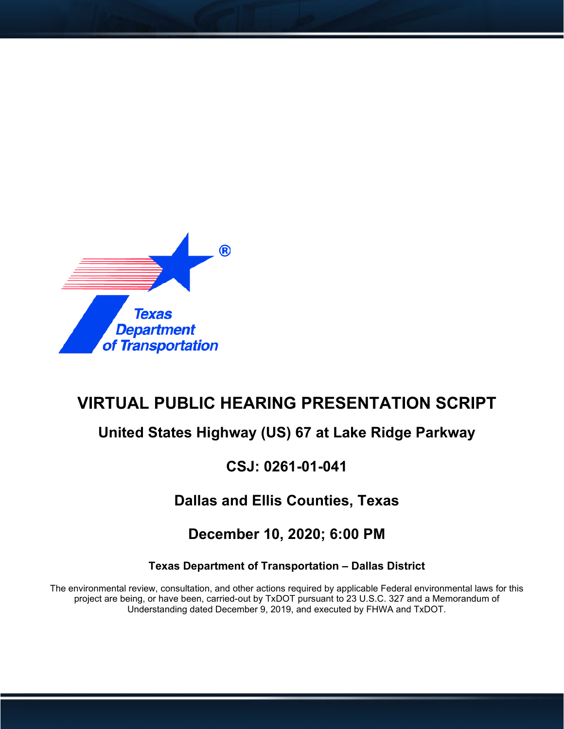

# **VIRTUAL PUBLIC HEARING PRESENTATION SCRIPT**

## **United States Highway (US) 67 at Lake Ridge Parkway**

## **CSJ: 0261-01-041**

## **Dallas and Ellis Counties, Texas**

## **December 10, 2020; 6:00 PM**

#### **Texas Department of Transportation – Dallas District**

The environmental review, consultation, and other actions required by applicable Federal environmental laws for this project are being, or have been, carried-out by TxDOT pursuant to 23 U.S.C. 327 and a Memorandum of Understanding dated December 9, 2019, and executed by FHWA and TxDOT.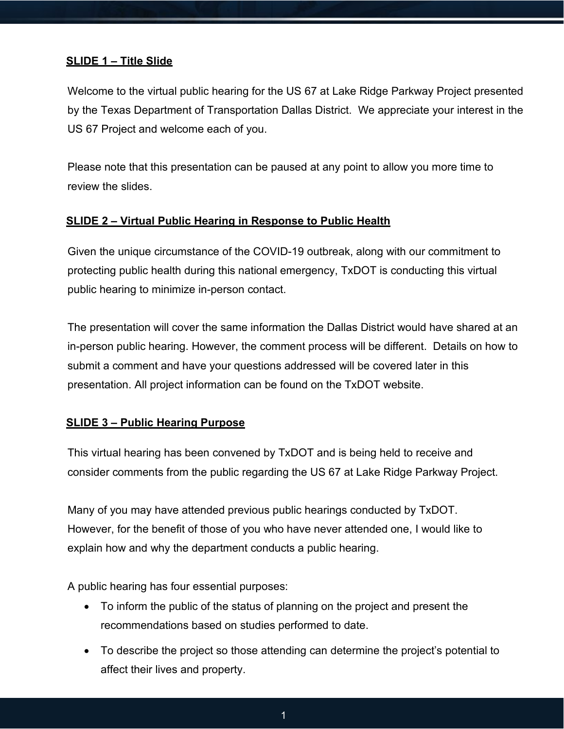#### **SLIDE 1 – Title Slide**

Welcome to the virtual public hearing for the US 67 at Lake Ridge Parkway Project presented by the Texas Department of Transportation Dallas District. We appreciate your interest in the US 67 Project and welcome each of you.

Please note that this presentation can be paused at any point to allow you more time to review the slides.

#### **SLIDE 2 – Virtual Public Hearing in Response to Public Health**

Given the unique circumstance of the COVID-19 outbreak, along with our commitment to protecting public health during this national emergency, TxDOT is conducting this virtual public hearing to minimize in-person contact.

The presentation will cover the same information the Dallas District would have shared at an in-person public hearing. However, the comment process will be different. Details on how to submit a comment and have your questions addressed will be covered later in this presentation. All project information can be found on the TxDOT website.

#### **SLIDE 3 – Public Hearing Purpose**

This virtual hearing has been convened by TxDOT and is being held to receive and consider comments from the public regarding the US 67 at Lake Ridge Parkway Project.

Many of you may have attended previous public hearings conducted by TxDOT. However, for the benefit of those of you who have never attended one, I would like to explain how and why the department conducts a public hearing.

A public hearing has four essential purposes:

- To inform the public of the status of planning on the project and present the recommendations based on studies performed to date.
- To describe the project so those attending can determine the project's potential to affect their lives and property.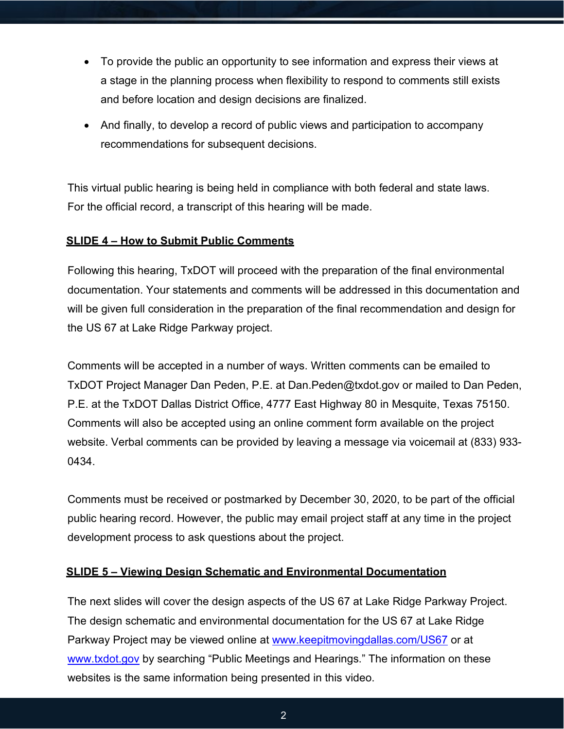- To provide the public an opportunity to see information and express their views at a stage in the planning process when flexibility to respond to comments still exists and before location and design decisions are finalized.
- And finally, to develop a record of public views and participation to accompany recommendations for subsequent decisions.

This virtual public hearing is being held in compliance with both federal and state laws. For the official record, a transcript of this hearing will be made.

#### **SLIDE 4 – How to Submit Public Comments**

Following this hearing, TxDOT will proceed with the preparation of the final environmental documentation. Your statements and comments will be addressed in this documentation and will be given full consideration in the preparation of the final recommendation and design for the US 67 at Lake Ridge Parkway project.

Comments will be accepted in a number of ways. Written comments can be emailed to TxDOT Project Manager Dan Peden, P.E. at Dan.Peden@txdot.gov or mailed to Dan Peden, P.E. at the TxDOT Dallas District Office, 4777 East Highway 80 in Mesquite, Texas 75150. Comments will also be accepted using an online comment form available on the project website. Verbal comments can be provided by leaving a message via voicemail at (833) 933- 0434.

Comments must be received or postmarked by December 30, 2020, to be part of the official public hearing record. However, the public may email project staff at any time in the project development process to ask questions about the project.

#### **SLIDE 5 – Viewing Design Schematic and Environmental Documentation**

The next slides will cover the design aspects of the US 67 at Lake Ridge Parkway Project. The design schematic and environmental documentation for the US 67 at Lake Ridge Parkway Project may be viewed online at [www.keepitmovingdallas.com/US67](http://www.keepitmovingdallas.com/US67) or at [www.txdot.gov](http://www.txdot.gov/) by searching "Public Meetings and Hearings." The information on these websites is the same information being presented in this video.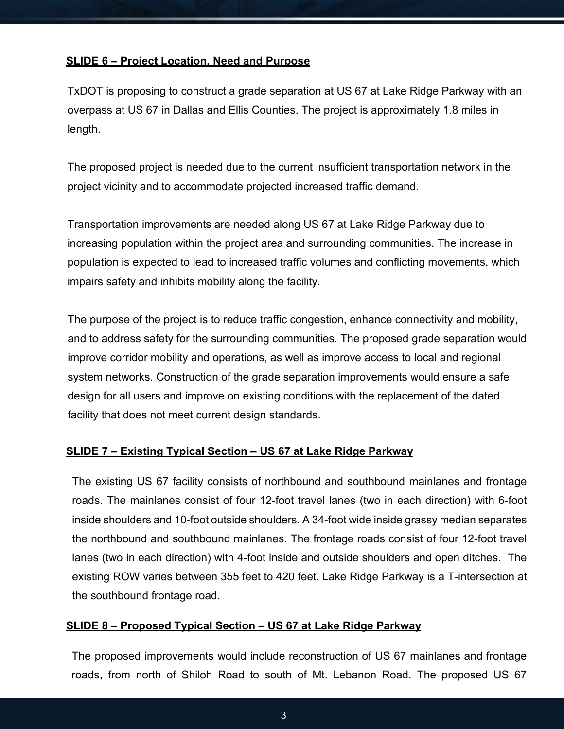#### **SLIDE 6 – Project Location, Need and Purpose**

TxDOT is proposing to construct a grade separation at US 67 at Lake Ridge Parkway with an overpass at US 67 in Dallas and Ellis Counties. The project is approximately 1.8 miles in length.

The proposed project is needed due to the current insufficient transportation network in the project vicinity and to accommodate projected increased traffic demand.

Transportation improvements are needed along US 67 at Lake Ridge Parkway due to increasing population within the project area and surrounding communities. The increase in population is expected to lead to increased traffic volumes and conflicting movements, which impairs safety and inhibits mobility along the facility.

The purpose of the project is to reduce traffic congestion, enhance connectivity and mobility, and to address safety for the surrounding communities. The proposed grade separation would improve corridor mobility and operations, as well as improve access to local and regional system networks. Construction of the grade separation improvements would ensure a safe design for all users and improve on existing conditions with the replacement of the dated facility that does not meet current design standards.

#### **SLIDE 7 – Existing Typical Section – US 67 at Lake Ridge Parkway**

The existing US 67 facility consists of northbound and southbound mainlanes and frontage roads. The mainlanes consist of four 12-foot travel lanes (two in each direction) with 6-foot inside shoulders and 10-foot outside shoulders. A 34-foot wide inside grassy median separates the northbound and southbound mainlanes. The frontage roads consist of four 12-foot travel lanes (two in each direction) with 4-foot inside and outside shoulders and open ditches. The existing ROW varies between 355 feet to 420 feet. Lake Ridge Parkway is a T-intersection at the southbound frontage road.

#### **SLIDE 8 – Proposed Typical Section – US 67 at Lake Ridge Parkway**

The proposed improvements would include reconstruction of US 67 mainlanes and frontage roads, from north of Shiloh Road to south of Mt. Lebanon Road. The proposed US 67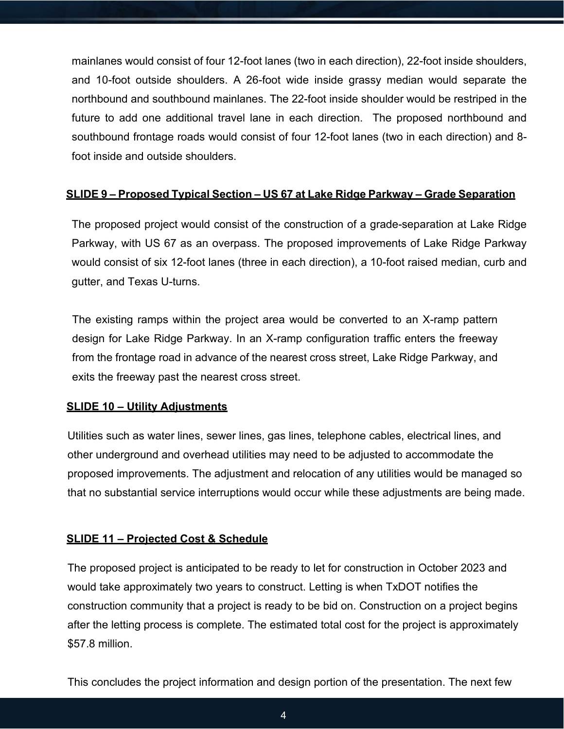mainlanes would consist of four 12-foot lanes (two in each direction), 22-foot inside shoulders, and 10-foot outside shoulders. A 26-foot wide inside grassy median would separate the northbound and southbound mainlanes. The 22-foot inside shoulder would be restriped in the future to add one additional travel lane in each direction. The proposed northbound and southbound frontage roads would consist of four 12-foot lanes (two in each direction) and 8 foot inside and outside shoulders.

#### **SLIDE 9 – Proposed Typical Section – US 67 at Lake Ridge Parkway – Grade Separation**

The proposed project would consist of the construction of a grade-separation at Lake Ridge Parkway, with US 67 as an overpass. The proposed improvements of Lake Ridge Parkway would consist of six 12-foot lanes (three in each direction), a 10-foot raised median, curb and gutter, and Texas U-turns.

The existing ramps within the project area would be converted to an X-ramp pattern design for Lake Ridge Parkway. In an X-ramp configuration traffic enters the freeway from the frontage road in advance of the nearest cross street, Lake Ridge Parkway, and exits the freeway past the nearest cross street.

#### **SLIDE 10 – Utility Adjustments**

Utilities such as water lines, sewer lines, gas lines, telephone cables, electrical lines, and other underground and overhead utilities may need to be adjusted to accommodate the proposed improvements. The adjustment and relocation of any utilities would be managed so that no substantial service interruptions would occur while these adjustments are being made.

#### **SLIDE 11 – Projected Cost & Schedule**

The proposed project is anticipated to be ready to let for construction in October 2023 and would take approximately two years to construct. Letting is when TxDOT notifies the construction community that a project is ready to be bid on. Construction on a project begins after the letting process is complete. The estimated total cost for the project is approximately \$57.8 million.

This concludes the project information and design portion of the presentation. The next few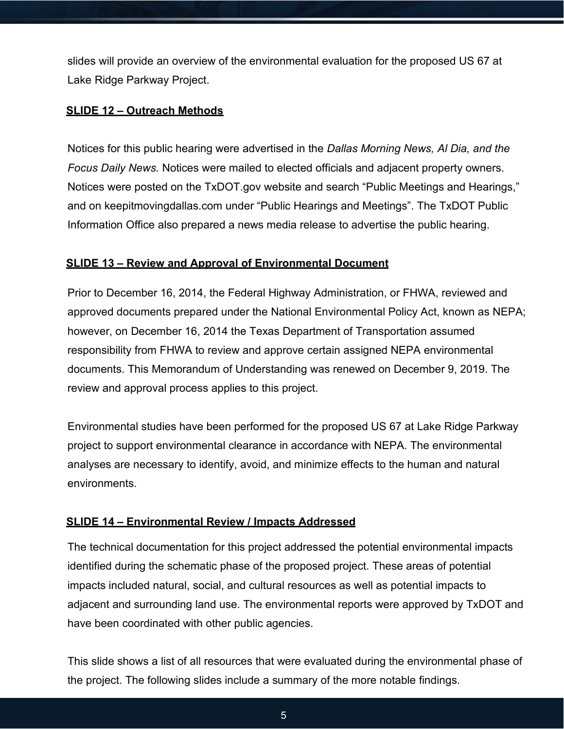slides will provide an overview of the environmental evaluation for the proposed US 67 at Lake Ridge Parkway Project.

#### **SLIDE 12 – Outreach Methods**

Notices for this public hearing were advertised in the *Dallas Morning News, Al Dia, and the Focus Daily News.* Notices were mailed to elected officials and adjacent property owners. Notices were posted on the TxDOT.gov website and search "Public Meetings and Hearings," and on keepitmovingdallas.com under "Public Hearings and Meetings". The TxDOT Public Information Office also prepared a news media release to advertise the public hearing.

#### **SLIDE 13 – Review and Approval of Environmental Document**

Prior to December 16, 2014, the Federal Highway Administration, or FHWA, reviewed and approved documents prepared under the National Environmental Policy Act, known as NEPA; however, on December 16, 2014 the Texas Department of Transportation assumed responsibility from FHWA to review and approve certain assigned NEPA environmental documents. This Memorandum of Understanding was renewed on December 9, 2019. The review and approval process applies to this project.

Environmental studies have been performed for the proposed US 67 at Lake Ridge Parkway project to support environmental clearance in accordance with NEPA. The environmental analyses are necessary to identify, avoid, and minimize effects to the human and natural environments.

#### **SLIDE 14 – Environmental Review / Impacts Addressed**

The technical documentation for this project addressed the potential environmental impacts identified during the schematic phase of the proposed project. These areas of potential impacts included natural, social, and cultural resources as well as potential impacts to adjacent and surrounding land use. The environmental reports were approved by TxDOT and have been coordinated with other public agencies.

This slide shows a list of all resources that were evaluated during the environmental phase of the project. The following slides include a summary of the more notable findings.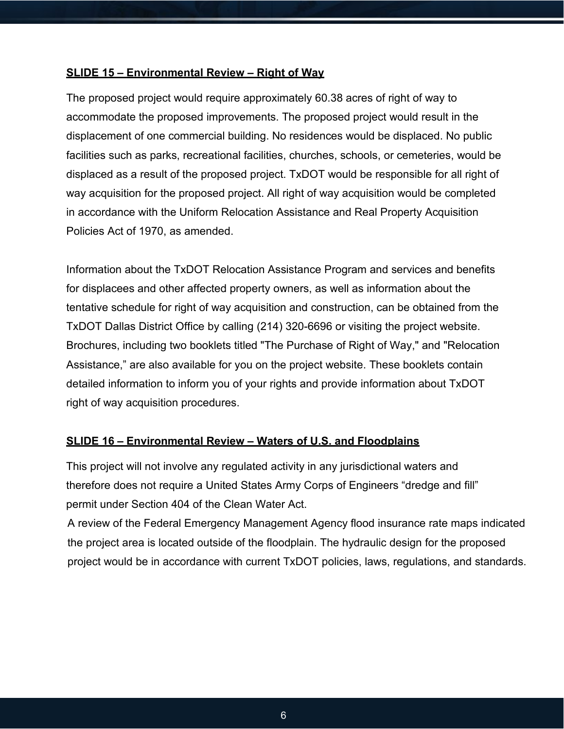#### **SLIDE 15 – Environmental Review – Right of Way**

The proposed project would require approximately 60.38 acres of right of way to accommodate the proposed improvements. The proposed project would result in the displacement of one commercial building. No residences would be displaced. No public facilities such as parks, recreational facilities, churches, schools, or cemeteries, would be displaced as a result of the proposed project. TxDOT would be responsible for all right of way acquisition for the proposed project. All right of way acquisition would be completed in accordance with the Uniform Relocation Assistance and Real Property Acquisition Policies Act of 1970, as amended.

Information about the TxDOT Relocation Assistance Program and services and benefits for displacees and other affected property owners, as well as information about the tentative schedule for right of way acquisition and construction, can be obtained from the TxDOT Dallas District Office by calling (214) 320-6696 or visiting the project website. Brochures, including two booklets titled "The Purchase of Right of Way," and "Relocation Assistance," are also available for you on the project website. These booklets contain detailed information to inform you of your rights and provide information about TxDOT right of way acquisition procedures.

#### **SLIDE 16 – Environmental Review – Waters of U.S. and Floodplains**

This project will not involve any regulated activity in any jurisdictional waters and therefore does not require a United States Army Corps of Engineers "dredge and fill" permit under Section 404 of the Clean Water Act.

A review of the Federal Emergency Management Agency flood insurance rate maps indicated the project area is located outside of the floodplain. The hydraulic design for the proposed project would be in accordance with current TxDOT policies, laws, regulations, and standards.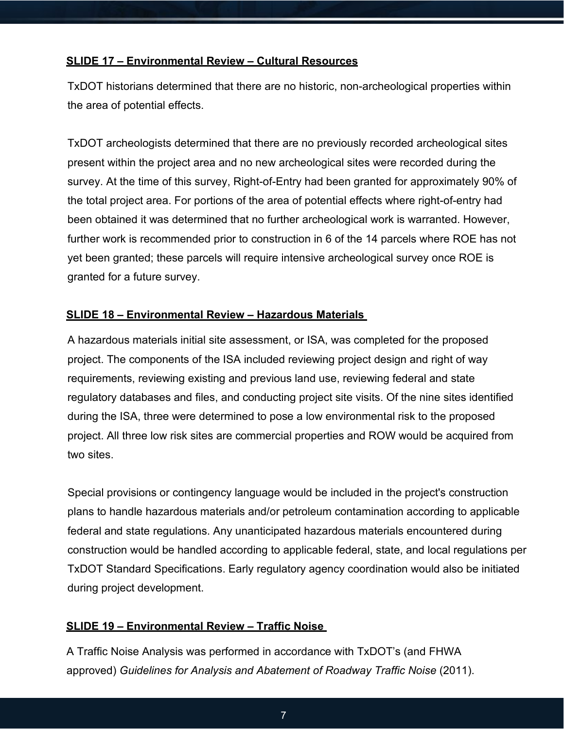#### **SLIDE 17 – Environmental Review – Cultural Resources**

TxDOT historians determined that there are no historic, non-archeological properties within the area of potential effects.

TxDOT archeologists determined that there are no previously recorded archeological sites present within the project area and no new archeological sites were recorded during the survey. At the time of this survey, Right-of-Entry had been granted for approximately 90% of the total project area. For portions of the area of potential effects where right-of-entry had been obtained it was determined that no further archeological work is warranted. However, further work is recommended prior to construction in 6 of the 14 parcels where ROE has not yet been granted; these parcels will require intensive archeological survey once ROE is granted for a future survey.

#### **SLIDE 18 – Environmental Review – Hazardous Materials**

A hazardous materials initial site assessment, or ISA, was completed for the proposed project. The components of the ISA included reviewing project design and right of way requirements, reviewing existing and previous land use, reviewing federal and state regulatory databases and files, and conducting project site visits. Of the nine sites identified during the ISA, three were determined to pose a low environmental risk to the proposed project. All three low risk sites are commercial properties and ROW would be acquired from two sites.

Special provisions or contingency language would be included in the project's construction plans to handle hazardous materials and/or petroleum contamination according to applicable federal and state regulations. Any unanticipated hazardous materials encountered during construction would be handled according to applicable federal, state, and local regulations per TxDOT Standard Specifications. Early regulatory agency coordination would also be initiated during project development.

#### **SLIDE 19 – Environmental Review – Traffic Noise**

A Traffic Noise Analysis was performed in accordance with TxDOT's (and FHWA approved) *Guidelines for Analysis and Abatement of Roadway Traffic Noise* (2011).

7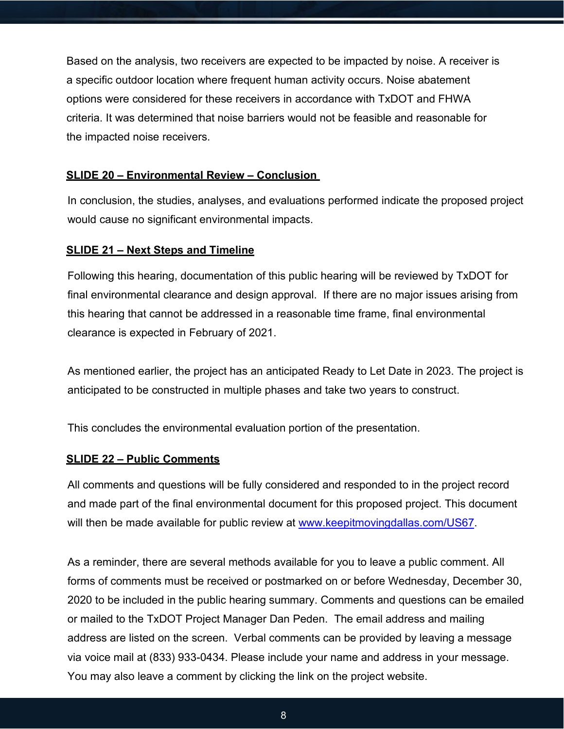Based on the analysis, two receivers are expected to be impacted by noise. A receiver is a specific outdoor location where frequent human activity occurs. Noise abatement options were considered for these receivers in accordance with TxDOT and FHWA criteria. It was determined that noise barriers would not be feasible and reasonable for the impacted noise receivers.

#### **SLIDE 20 – Environmental Review – Conclusion**

In conclusion, the studies, analyses, and evaluations performed indicate the proposed project would cause no significant environmental impacts.

#### **SLIDE 21 – Next Steps and Timeline**

Following this hearing, documentation of this public hearing will be reviewed by TxDOT for final environmental clearance and design approval. If there are no major issues arising from this hearing that cannot be addressed in a reasonable time frame, final environmental clearance is expected in February of 2021.

As mentioned earlier, the project has an anticipated Ready to Let Date in 2023. The project is anticipated to be constructed in multiple phases and take two years to construct.

This concludes the environmental evaluation portion of the presentation.

#### **SLIDE 22 – Public Comments**

All comments and questions will be fully considered and responded to in the project record and made part of the final environmental document for this proposed project. This document will then be made available for public review at [www.keepitmovingdallas.com/US67.](http://www.keepitmovingdallas.com/US67)

As a reminder, there are several methods available for you to leave a public comment. All forms of comments must be received or postmarked on or before Wednesday, December 30, 2020 to be included in the public hearing summary. Comments and questions can be emailed or mailed to the TxDOT Project Manager Dan Peden. The email address and mailing address are listed on the screen. Verbal comments can be provided by leaving a message via voice mail at (833) 933-0434. Please include your name and address in your message. You may also leave a comment by clicking the link on the project website.